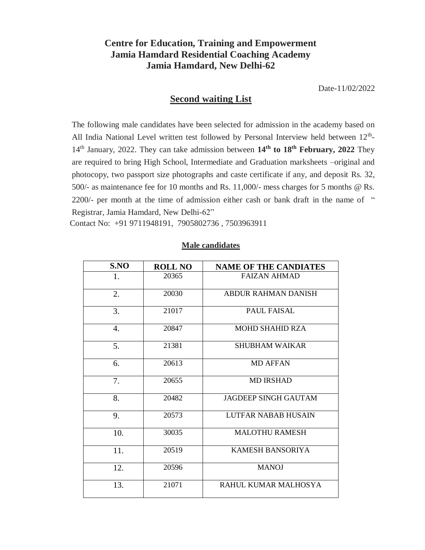## **Centre for Education, Training and Empowerment Jamia Hamdard Residential Coaching Academy Jamia Hamdard, New Delhi-62**

Date-11/02/2022

## **Second waiting List**

The following male candidates have been selected for admission in the academy based on All India National Level written test followed by Personal Interview held between 12<sup>th</sup>-14<sup>th</sup> January, 2022. They can take admission between 14<sup>th</sup> to 18<sup>th</sup> February, 2022 They are required to bring High School, Intermediate and Graduation marksheets –original and photocopy, two passport size photographs and caste certificate if any, and deposit Rs. 32, 500/- as maintenance fee for 10 months and Rs. 11,000/- mess charges for 5 months @ Rs. 2200/- per month at the time of admission either cash or bank draft in the name of " Registrar, Jamia Hamdard, New Delhi-62"

Contact No: +91 9711948191, 7905802736 , 7503963911

## **Male candidates**

| S.NO | <b>ROLL NO</b> | <b>NAME OF THE CANDIATES</b> |
|------|----------------|------------------------------|
| 1.   | 20365          | <b>FAIZAN AHMAD</b>          |
| 2.   | 20030          | <b>ABDUR RAHMAN DANISH</b>   |
| 3.   | 21017          | <b>PAUL FAISAL</b>           |
| 4.   | 20847          | <b>MOHD SHAHID RZA</b>       |
| 5.   | 21381          | <b>SHUBHAM WAIKAR</b>        |
| 6.   | 20613          | <b>MD AFFAN</b>              |
| 7.   | 20655          | <b>MD IRSHAD</b>             |
| 8.   | 20482          | <b>JAGDEEP SINGH GAUTAM</b>  |
| 9.   | 20573          | LUTFAR NABAB HUSAIN          |
| 10.  | 30035          | <b>MALOTHU RAMESH</b>        |
| 11.  | 20519          | <b>KAMESH BANSORIYA</b>      |
| 12.  | 20596          | <b>MANOJ</b>                 |
| 13.  | 21071          | RAHUL KUMAR MALHOSYA         |